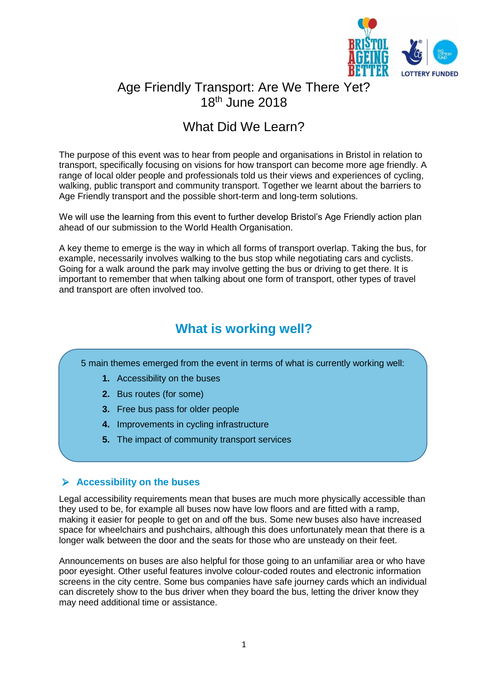

# Age Friendly Transport: Are We There Yet? 18th June 2018

# What Did We Learn?

The purpose of this event was to hear from people and organisations in Bristol in relation to transport, specifically focusing on visions for how transport can become more age friendly. A range of local older people and professionals told us their views and experiences of cycling, walking, public transport and community transport. Together we learnt about the barriers to Age Friendly transport and the possible short-term and long-term solutions.

We will use the learning from this event to further develop Bristol's Age Friendly action plan ahead of our submission to the World Health Organisation.

A key theme to emerge is the way in which all forms of transport overlap. Taking the bus, for example, necessarily involves walking to the bus stop while negotiating cars and cyclists. Going for a walk around the park may involve getting the bus or driving to get there. It is important to remember that when talking about one form of transport, other types of travel and transport are often involved too.

# **What is working well?**

5 main themes emerged from the event in terms of what is currently working well:

- **1.** Accessibility on the buses
- **2.** Bus routes (for some)
- **3.** Free bus pass for older people
- **4.** Improvements in cycling infrastructure
- **5.** The impact of community transport services

# **Accessibility on the buses**

Legal accessibility requirements mean that buses are much more physically accessible than they used to be, for example all buses now have low floors and are fitted with a ramp, making it easier for people to get on and off the bus. Some new buses also have increased space for wheelchairs and pushchairs, although this does unfortunately mean that there is a longer walk between the door and the seats for those who are unsteady on their feet.

Announcements on buses are also helpful for those going to an unfamiliar area or who have poor eyesight. Other useful features involve colour-coded routes and electronic information screens in the city centre. Some bus companies have safe journey cards which an individual can discretely show to the bus driver when they board the bus, letting the driver know they may need additional time or assistance.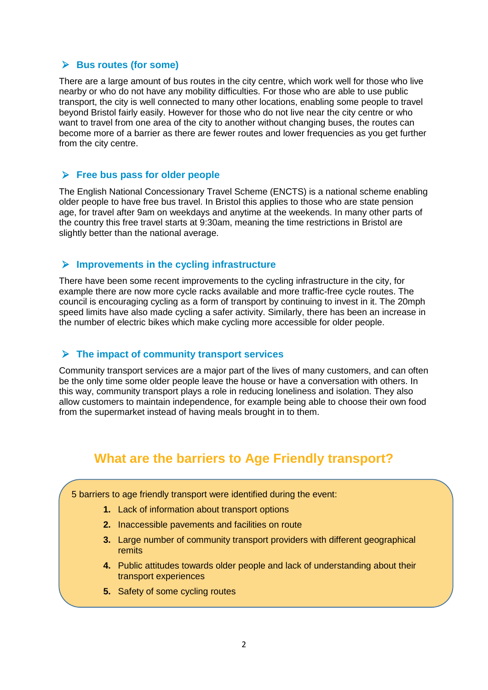## **Bus routes (for some)**

There are a large amount of bus routes in the city centre, which work well for those who live nearby or who do not have any mobility difficulties. For those who are able to use public transport, the city is well connected to many other locations, enabling some people to travel beyond Bristol fairly easily. However for those who do not live near the city centre or who want to travel from one area of the city to another without changing buses, the routes can become more of a barrier as there are fewer routes and lower frequencies as you get further from the city centre.

## **Free bus pass for older people**

The English National Concessionary Travel Scheme (ENCTS) is a national scheme enabling older people to have free bus travel. In Bristol this applies to those who are state pension age, for travel after 9am on weekdays and anytime at the weekends. In many other parts of the country this free travel starts at 9:30am, meaning the time restrictions in Bristol are slightly better than the national average.

#### **Improvements in the cycling infrastructure**

There have been some recent improvements to the cycling infrastructure in the city, for example there are now more cycle racks available and more traffic-free cycle routes. The council is encouraging cycling as a form of transport by continuing to invest in it. The 20mph speed limits have also made cycling a safer activity. Similarly, there has been an increase in the number of electric bikes which make cycling more accessible for older people.

### **The impact of community transport services**

Community transport services are a major part of the lives of many customers, and can often be the only time some older people leave the house or have a conversation with others. In this way, community transport plays a role in reducing loneliness and isolation. They also allow customers to maintain independence, for example being able to choose their own food from the supermarket instead of having meals brought in to them.

# **What are the barriers to Age Friendly transport?**

#### 5 barriers to age friendly transport were identified during the event:

- **1.** Lack of information about transport options
- **2.** Inaccessible pavements and facilities on route
- **3.** Large number of community transport providers with different geographical remits
- **4.** Public attitudes towards older people and lack of understanding about their transport experiences
- **5.** Safety of some cycling routes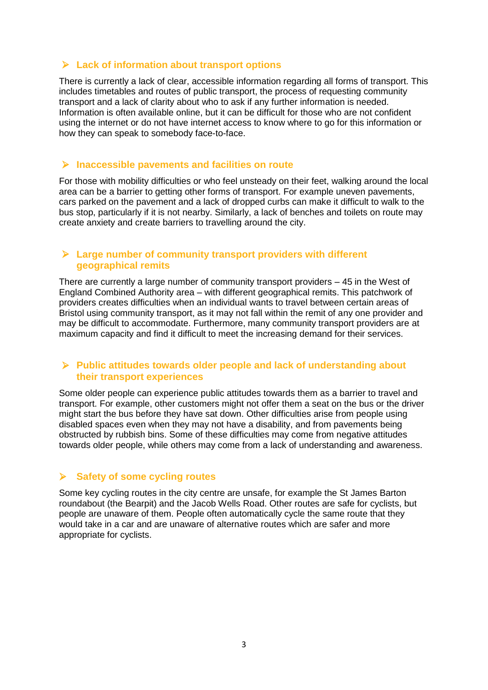# **Lack of information about transport options**

There is currently a lack of clear, accessible information regarding all forms of transport. This includes timetables and routes of public transport, the process of requesting community transport and a lack of clarity about who to ask if any further information is needed. Information is often available online, but it can be difficult for those who are not confident using the internet or do not have internet access to know where to go for this information or how they can speak to somebody face-to-face.

### **Inaccessible pavements and facilities on route**

For those with mobility difficulties or who feel unsteady on their feet, walking around the local area can be a barrier to getting other forms of transport. For example uneven pavements, cars parked on the pavement and a lack of dropped curbs can make it difficult to walk to the bus stop, particularly if it is not nearby. Similarly, a lack of benches and toilets on route may create anxiety and create barriers to travelling around the city.

#### **Large number of community transport providers with different geographical remits**

There are currently a large number of community transport providers – 45 in the West of England Combined Authority area – with different geographical remits. This patchwork of providers creates difficulties when an individual wants to travel between certain areas of Bristol using community transport, as it may not fall within the remit of any one provider and may be difficult to accommodate. Furthermore, many community transport providers are at maximum capacity and find it difficult to meet the increasing demand for their services.

### **Public attitudes towards older people and lack of understanding about their transport experiences**

Some older people can experience public attitudes towards them as a barrier to travel and transport. For example, other customers might not offer them a seat on the bus or the driver might start the bus before they have sat down. Other difficulties arise from people using disabled spaces even when they may not have a disability, and from pavements being obstructed by rubbish bins. Some of these difficulties may come from negative attitudes towards older people, while others may come from a lack of understanding and awareness.

### **Safety of some cycling routes**

Some key cycling routes in the city centre are unsafe, for example the St James Barton roundabout (the Bearpit) and the Jacob Wells Road. Other routes are safe for cyclists, but people are unaware of them. People often automatically cycle the same route that they would take in a car and are unaware of alternative routes which are safer and more appropriate for cyclists.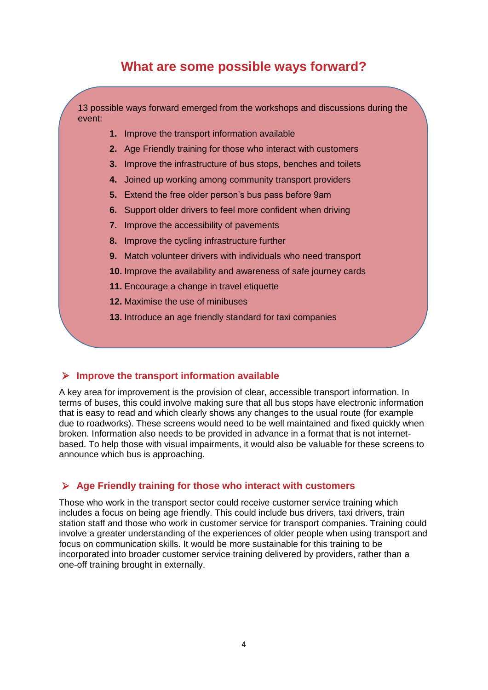# **What are some possible ways forward?**

13 possible ways forward emerged from the workshops and discussions during the event:

- **1.** Improve the transport information available
- **2.** Age Friendly training for those who interact with customers
- **3.** Improve the infrastructure of bus stops, benches and toilets
- **4.** Joined up working among community transport providers
- **5.** Extend the free older person's bus pass before 9am
- **6.** Support older drivers to feel more confident when driving
- **7.** Improve the accessibility of pavements
- **8.** Improve the cycling infrastructure further
- **9.** Match volunteer drivers with individuals who need transport
- **10.** Improve the availability and awareness of safe journey cards
- 11. Encourage a change in travel etiquette
- **12.** Maximise the use of minibuses
- **13.** Introduce an age friendly standard for taxi companies

### **Improve the transport information available**

A key area for improvement is the provision of clear, accessible transport information. In terms of buses, this could involve making sure that all bus stops have electronic information that is easy to read and which clearly shows any changes to the usual route (for example due to roadworks). These screens would need to be well maintained and fixed quickly when broken. Information also needs to be provided in advance in a format that is not internetbased. To help those with visual impairments, it would also be valuable for these screens to announce which bus is approaching.

#### **Age Friendly training for those who interact with customers**

Those who work in the transport sector could receive customer service training which includes a focus on being age friendly. This could include bus drivers, taxi drivers, train station staff and those who work in customer service for transport companies. Training could involve a greater understanding of the experiences of older people when using transport and focus on communication skills. It would be more sustainable for this training to be incorporated into broader customer service training delivered by providers, rather than a one-off training brought in externally.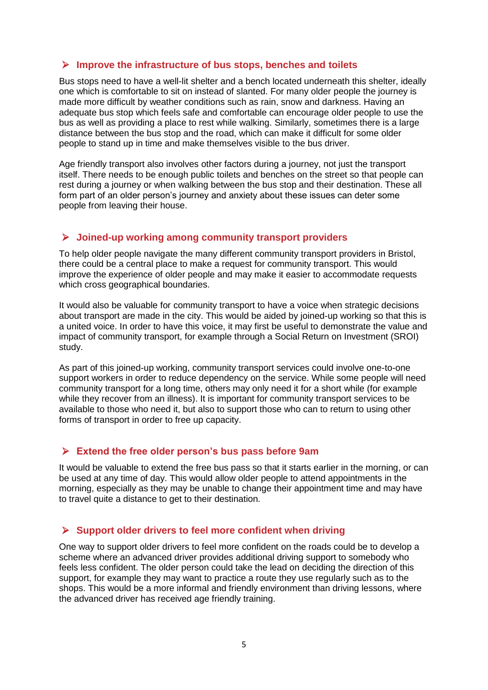## **Improve the infrastructure of bus stops, benches and toilets**

Bus stops need to have a well-lit shelter and a bench located underneath this shelter, ideally one which is comfortable to sit on instead of slanted. For many older people the journey is made more difficult by weather conditions such as rain, snow and darkness. Having an adequate bus stop which feels safe and comfortable can encourage older people to use the bus as well as providing a place to rest while walking. Similarly, sometimes there is a large distance between the bus stop and the road, which can make it difficult for some older people to stand up in time and make themselves visible to the bus driver.

Age friendly transport also involves other factors during a journey, not just the transport itself. There needs to be enough public toilets and benches on the street so that people can rest during a journey or when walking between the bus stop and their destination. These all form part of an older person's journey and anxiety about these issues can deter some people from leaving their house.

### **Joined-up working among community transport providers**

To help older people navigate the many different community transport providers in Bristol, there could be a central place to make a request for community transport. This would improve the experience of older people and may make it easier to accommodate requests which cross geographical boundaries.

It would also be valuable for community transport to have a voice when strategic decisions about transport are made in the city. This would be aided by joined-up working so that this is a united voice. In order to have this voice, it may first be useful to demonstrate the value and impact of community transport, for example through a Social Return on Investment (SROI) study.

As part of this joined-up working, community transport services could involve one-to-one support workers in order to reduce dependency on the service. While some people will need community transport for a long time, others may only need it for a short while (for example while they recover from an illness). It is important for community transport services to be available to those who need it, but also to support those who can to return to using other forms of transport in order to free up capacity.

### **Extend the free older person's bus pass before 9am**

It would be valuable to extend the free bus pass so that it starts earlier in the morning, or can be used at any time of day. This would allow older people to attend appointments in the morning, especially as they may be unable to change their appointment time and may have to travel quite a distance to get to their destination.

### **Support older drivers to feel more confident when driving**

One way to support older drivers to feel more confident on the roads could be to develop a scheme where an advanced driver provides additional driving support to somebody who feels less confident. The older person could take the lead on deciding the direction of this support, for example they may want to practice a route they use regularly such as to the shops. This would be a more informal and friendly environment than driving lessons, where the advanced driver has received age friendly training.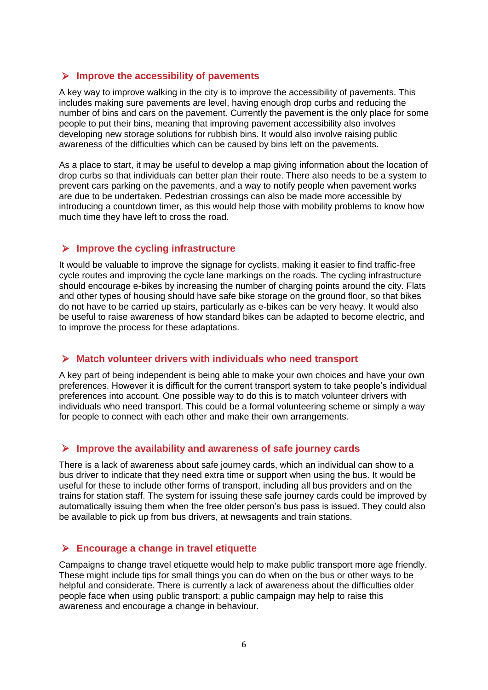### **Improve the accessibility of pavements**

A key way to improve walking in the city is to improve the accessibility of pavements. This includes making sure pavements are level, having enough drop curbs and reducing the number of bins and cars on the pavement. Currently the pavement is the only place for some people to put their bins, meaning that improving pavement accessibility also involves developing new storage solutions for rubbish bins. It would also involve raising public awareness of the difficulties which can be caused by bins left on the pavements.

As a place to start, it may be useful to develop a map giving information about the location of drop curbs so that individuals can better plan their route. There also needs to be a system to prevent cars parking on the pavements, and a way to notify people when pavement works are due to be undertaken. Pedestrian crossings can also be made more accessible by introducing a countdown timer, as this would help those with mobility problems to know how much time they have left to cross the road.

## **Improve the cycling infrastructure**

It would be valuable to improve the signage for cyclists, making it easier to find traffic-free cycle routes and improving the cycle lane markings on the roads. The cycling infrastructure should encourage e-bikes by increasing the number of charging points around the city. Flats and other types of housing should have safe bike storage on the ground floor, so that bikes do not have to be carried up stairs, particularly as e-bikes can be very heavy. It would also be useful to raise awareness of how standard bikes can be adapted to become electric, and to improve the process for these adaptations.

### **Match volunteer drivers with individuals who need transport**

A key part of being independent is being able to make your own choices and have your own preferences. However it is difficult for the current transport system to take people's individual preferences into account. One possible way to do this is to match volunteer drivers with individuals who need transport. This could be a formal volunteering scheme or simply a way for people to connect with each other and make their own arrangements.

# **Improve the availability and awareness of safe journey cards**

There is a lack of awareness about safe journey cards, which an individual can show to a bus driver to indicate that they need extra time or support when using the bus. It would be useful for these to include other forms of transport, including all bus providers and on the trains for station staff. The system for issuing these safe journey cards could be improved by automatically issuing them when the free older person's bus pass is issued. They could also be available to pick up from bus drivers, at newsagents and train stations.

# **Encourage a change in travel etiquette**

Campaigns to change travel etiquette would help to make public transport more age friendly. These might include tips for small things you can do when on the bus or other ways to be helpful and considerate. There is currently a lack of awareness about the difficulties older people face when using public transport; a public campaign may help to raise this awareness and encourage a change in behaviour.